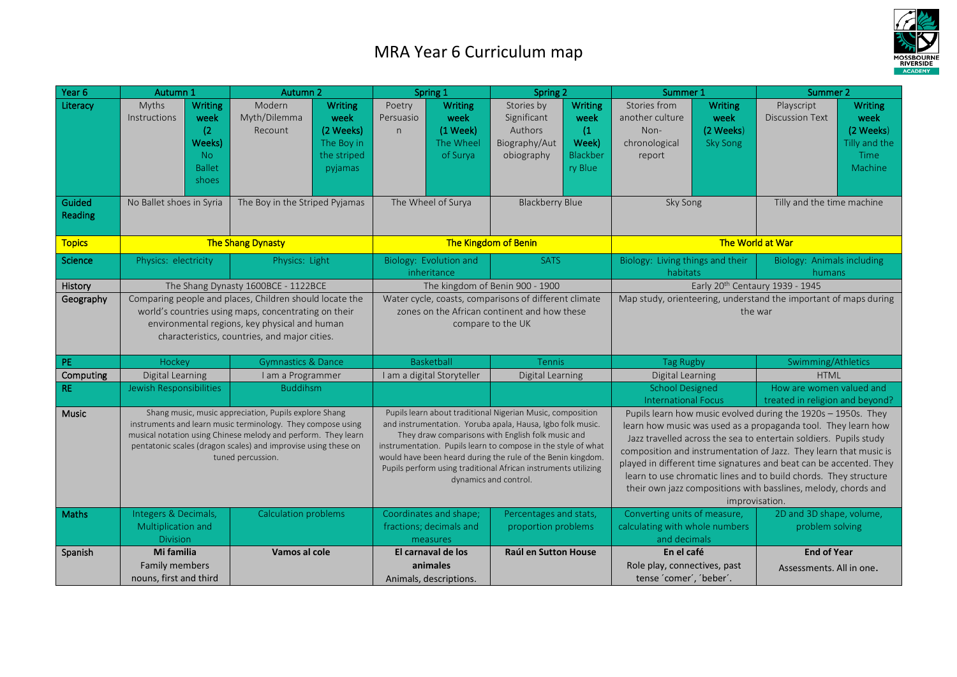## MRA Year 6 Curriculum map



| Year 6            | Autumn 1                                                                                                                                                                                                                                                                     |                                                                   | Autumn 2                          |                                                                                                                                                                                                                                                                                                                                                                                                          | Spring 1                              |                                                               | Spring 2                                                                                                                                                                                                                                                                                                                                                                                                                                                                                               |                                                        | Summer 1                                                                       |                                                        | Summer 2                                                    |                                                                         |
|-------------------|------------------------------------------------------------------------------------------------------------------------------------------------------------------------------------------------------------------------------------------------------------------------------|-------------------------------------------------------------------|-----------------------------------|----------------------------------------------------------------------------------------------------------------------------------------------------------------------------------------------------------------------------------------------------------------------------------------------------------------------------------------------------------------------------------------------------------|---------------------------------------|---------------------------------------------------------------|--------------------------------------------------------------------------------------------------------------------------------------------------------------------------------------------------------------------------------------------------------------------------------------------------------------------------------------------------------------------------------------------------------------------------------------------------------------------------------------------------------|--------------------------------------------------------|--------------------------------------------------------------------------------|--------------------------------------------------------|-------------------------------------------------------------|-------------------------------------------------------------------------|
| Literacy          | Myths<br><b>Instructions</b>                                                                                                                                                                                                                                                 | Writing<br>week<br>(2)<br>Weeks)<br>No.<br><b>Ballet</b><br>shoes | Modern<br>Myth/Dilemma<br>Recount | <b>Writing</b><br>week<br>(2 Weeks)<br>The Boy in<br>the striped<br>pyjamas                                                                                                                                                                                                                                                                                                                              | Poetry<br>Persuasio<br>n              | <b>Writing</b><br>week<br>(1 Week)<br>The Wheel<br>of Surya   | Stories by<br>Significant<br>Authors<br>Biography/Aut<br>obiography                                                                                                                                                                                                                                                                                                                                                                                                                                    | Writing<br>week<br>(1)<br>Week)<br>Blackber<br>ry Blue | Stories from<br>another culture<br>Non-<br>chronological<br>report             | <b>Writing</b><br>week<br>(2 Weeks)<br><b>Sky Song</b> | Playscript<br><b>Discussion Text</b>                        | <b>Writing</b><br>week<br>(2 Weeks)<br>Tilly and the<br>Time<br>Machine |
| Guided<br>Reading | No Ballet shoes in Syria                                                                                                                                                                                                                                                     |                                                                   | The Boy in the Striped Pyjamas    |                                                                                                                                                                                                                                                                                                                                                                                                          | The Wheel of Surya                    |                                                               | <b>Blackberry Blue</b>                                                                                                                                                                                                                                                                                                                                                                                                                                                                                 |                                                        | Sky Song                                                                       |                                                        | Tilly and the time machine                                  |                                                                         |
| <b>Topics</b>     |                                                                                                                                                                                                                                                                              | The Shang Dynasty                                                 |                                   |                                                                                                                                                                                                                                                                                                                                                                                                          |                                       | The Kingdom of Benin                                          |                                                                                                                                                                                                                                                                                                                                                                                                                                                                                                        | The World at War                                       |                                                                                |                                                        |                                                             |                                                                         |
| Science           | Physics: electricity                                                                                                                                                                                                                                                         |                                                                   | Physics: Light                    |                                                                                                                                                                                                                                                                                                                                                                                                          | Biology: Evolution and<br>inheritance |                                                               | <b>SATS</b>                                                                                                                                                                                                                                                                                                                                                                                                                                                                                            |                                                        | Biology: Living things and their<br>habitats                                   |                                                        | Biology: Animals including<br>humans                        |                                                                         |
| History           | The Shang Dynasty 1600BCE - 1122BCE                                                                                                                                                                                                                                          |                                                                   |                                   |                                                                                                                                                                                                                                                                                                                                                                                                          |                                       |                                                               | The kingdom of Benin 900 - 1900                                                                                                                                                                                                                                                                                                                                                                                                                                                                        |                                                        | Early 20th Centaury 1939 - 1945                                                |                                                        |                                                             |                                                                         |
| Geography         | Comparing people and places, Children should locate the<br>world's countries using maps, concentrating on their<br>environmental regions, key physical and human<br>characteristics, countries, and major cities.                                                            |                                                                   |                                   | Water cycle, coasts, comparisons of different climate<br>zones on the African continent and how these<br>compare to the UK                                                                                                                                                                                                                                                                               |                                       |                                                               | Map study, orienteering, understand the important of maps during<br>the war                                                                                                                                                                                                                                                                                                                                                                                                                            |                                                        |                                                                                |                                                        |                                                             |                                                                         |
| PE                | Hockey                                                                                                                                                                                                                                                                       |                                                                   | <b>Gymnastics &amp; Dance</b>     |                                                                                                                                                                                                                                                                                                                                                                                                          | <b>Basketball</b>                     |                                                               | <b>Tennis</b>                                                                                                                                                                                                                                                                                                                                                                                                                                                                                          |                                                        | <b>Tag Rugby</b>                                                               |                                                        | Swimming/Athletics                                          |                                                                         |
| Computing         | Digital Learning                                                                                                                                                                                                                                                             |                                                                   | I am a Programmer                 |                                                                                                                                                                                                                                                                                                                                                                                                          | I am a digital Storyteller            |                                                               | Digital Learning                                                                                                                                                                                                                                                                                                                                                                                                                                                                                       |                                                        | Digital Learning                                                               |                                                        | <b>HTML</b>                                                 |                                                                         |
| <b>RE</b>         | Jewish Responsibilities                                                                                                                                                                                                                                                      |                                                                   | <b>Buddihsm</b>                   |                                                                                                                                                                                                                                                                                                                                                                                                          |                                       |                                                               |                                                                                                                                                                                                                                                                                                                                                                                                                                                                                                        |                                                        | <b>School Designed</b><br><b>International Focus</b>                           |                                                        | How are women valued and<br>treated in religion and beyond? |                                                                         |
| <b>Music</b>      | Shang music, music appreciation, Pupils explore Shang<br>instruments and learn music terminology. They compose using<br>musical notation using Chinese melody and perform. They learn<br>pentatonic scales (dragon scales) and improvise using these on<br>tuned percussion. |                                                                   |                                   | Pupils learn about traditional Nigerian Music, composition<br>and instrumentation. Yoruba apala, Hausa, Igbo folk music.<br>They draw comparisons with English folk music and<br>instrumentation. Pupils learn to compose in the style of what<br>would have been heard during the rule of the Benin kingdom.<br>Pupils perform using traditional African instruments utilizing<br>dynamics and control. |                                       |                                                               | Pupils learn how music evolved during the 1920s - 1950s. They<br>learn how music was used as a propaganda tool. They learn how<br>Jazz travelled across the sea to entertain soldiers. Pupils study<br>composition and instrumentation of Jazz. They learn that music is<br>played in different time signatures and beat can be accented. They<br>learn to use chromatic lines and to build chords. They structure<br>their own jazz compositions with basslines, melody, chords and<br>improvisation. |                                                        |                                                                                |                                                        |                                                             |                                                                         |
| <b>Maths</b>      | Integers & Decimals,<br>Multiplication and<br><b>Division</b>                                                                                                                                                                                                                |                                                                   | Calculation problems              |                                                                                                                                                                                                                                                                                                                                                                                                          |                                       | Coordinates and shape;<br>fractions; decimals and<br>measures | Percentages and stats,<br>proportion problems                                                                                                                                                                                                                                                                                                                                                                                                                                                          |                                                        | Converting units of measure,<br>calculating with whole numbers<br>and decimals |                                                        | 2D and 3D shape, volume,<br>problem solving                 |                                                                         |
| Spanish           | Mi familia<br>Family members<br>nouns, first and third                                                                                                                                                                                                                       |                                                                   | Vamos al cole                     |                                                                                                                                                                                                                                                                                                                                                                                                          |                                       | El carnaval de los<br>animales<br>Animals, descriptions.      | Raúl en Sutton House                                                                                                                                                                                                                                                                                                                                                                                                                                                                                   |                                                        | En el café<br>Role play, connectives, past<br>tense 'comer', 'beber'.          |                                                        | <b>End of Year</b><br>Assessments. All in one.              |                                                                         |